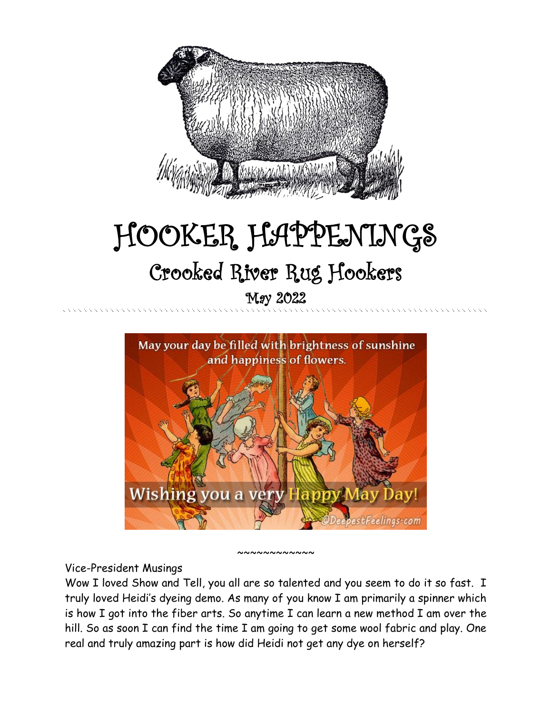

# HOOKER HAPPENINGS Crooked River Rug Hookers May 2022



#### ~~~~~~~~~~~~

#### Vice-President Musings

Wow I loved Show and Tell, you all are so talented and you seem to do it so fast. I truly loved Heidi's dyeing demo. As many of you know I am primarily a spinner which is how I got into the fiber arts. So anytime I can learn a new method I am over the hill. So as soon I can find the time I am going to get some wool fabric and play. One real and truly amazing part is how did Heidi not get any dye on herself?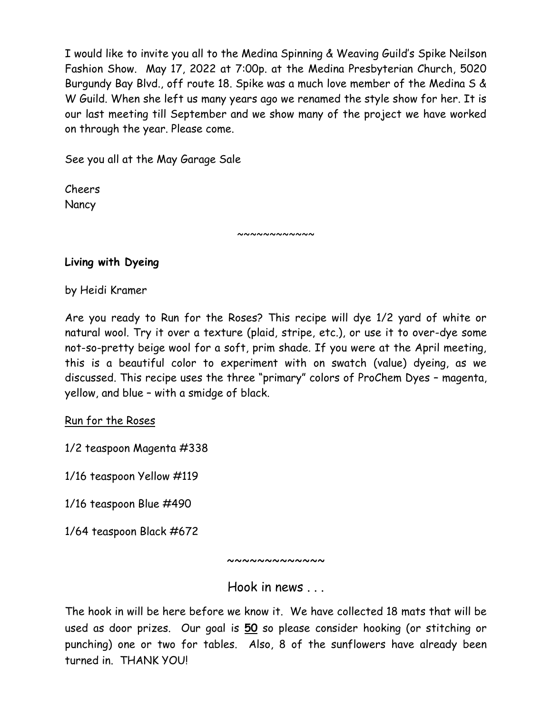I would like to invite you all to the Medina Spinning & Weaving Guild's Spike Neilson Fashion Show. May 17, 2022 at 7:00p. at the Medina Presbyterian Church, 5020 Burgundy Bay Blvd., off route 18. Spike was a much love member of the Medina S & W Guild. When she left us many years ago we renamed the style show for her. It is our last meeting till September and we show many of the project we have worked on through the year. Please come.

See you all at the May Garage Sale

Cheers **Nancy** 

**Living with Dyeing**

by Heidi Kramer

Are you ready to Run for the Roses? This recipe will dye 1/2 yard of white or natural wool. Try it over a texture (plaid, stripe, etc.), or use it to over-dye some not-so-pretty beige wool for a soft, prim shade. If you were at the April meeting, this is a beautiful color to experiment with on swatch (value) dyeing, as we discussed. This recipe uses the three "primary" colors of ProChem Dyes – magenta, yellow, and blue – with a smidge of black.

~~~~~~~~~~

Run for the Roses

1/2 teaspoon Magenta #338

1/16 teaspoon Yellow #119

1/16 teaspoon Blue #490

1/64 teaspoon Black #672

~~~~~~~~~~~~~

Hook in news

The hook in will be here before we know it. We have collected 18 mats that will be used as door prizes. Our goal is **50** so please consider hooking (or stitching or punching) one or two for tables. Also, 8 of the sunflowers have already been turned in. THANK YOU!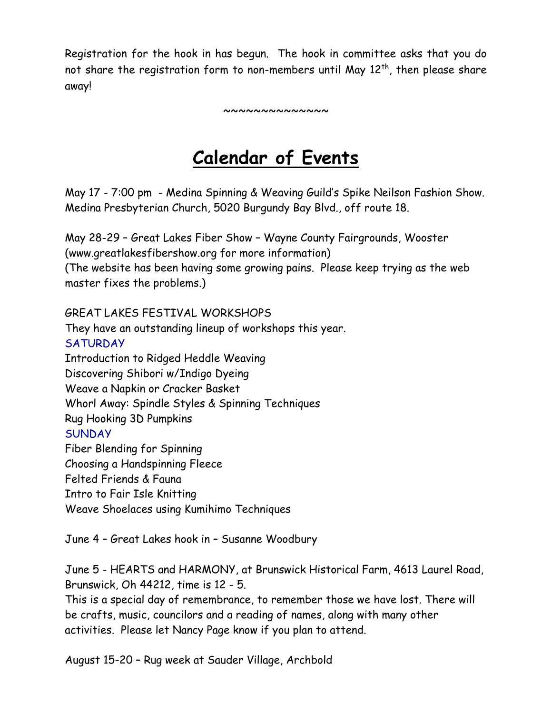Registration for the hook in has begun. The hook in committee asks that you do not share the registration form to non-members until May  $12<sup>th</sup>$ , then please share away!

~~~~~~~~~~~~~~

## **Calendar of Events**

May 17 - 7:00 pm - Medina Spinning & Weaving Guild's Spike Neilson Fashion Show. Medina Presbyterian Church, 5020 Burgundy Bay Blvd., off route 18.

May 28-29 – Great Lakes Fiber Show – Wayne County Fairgrounds, Wooster (www.greatlakesfibershow.org for more information) (The website has been having some growing pains. Please keep trying as the web master fixes the problems.)

GREAT LAKES FESTIVAL WORKSHOPS They have an outstanding lineup of workshops this year. **SATURDAY** Introduction to Ridged Heddle Weaving Discovering Shibori w/Indigo Dyeing Weave a Napkin or Cracker Basket Whorl Away: Spindle Styles & Spinning Techniques Rug Hooking 3D Pumpkins **SUNDAY** Fiber Blending for Spinning Choosing a Handspinning Fleece Felted Friends & Fauna Intro to Fair Isle Knitting Weave Shoelaces using Kumihimo Techniques

June 4 – Great Lakes hook in – Susanne Woodbury

June 5 - HEARTS and HARMONY, at Brunswick Historical Farm, 4613 Laurel Road, Brunswick, Oh 44212, time is 12 - 5.

This is a special day of remembrance, to remember those we have lost. There will be crafts, music, councilors and a reading of names, along with many other activities. Please let Nancy Page know if you plan to attend.

August 15-20 – Rug week at Sauder Village, Archbold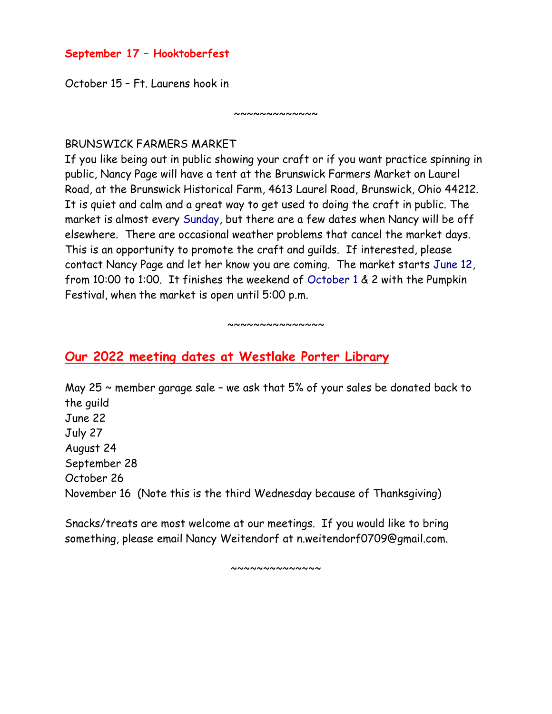#### **September 17 – Hooktoberfest**

October 15 – Ft. Laurens hook in

#### BRUNSWICK FARMERS MARKET

If you like being out in public showing your craft or if you want practice spinning in public, Nancy Page will have a tent at the Brunswick Farmers Market on Laurel Road, at the Brunswick Historical Farm, 4613 Laurel Road, Brunswick, Ohio 44212. It is quiet and calm and a great way to get used to doing the craft in public. The market is almost every Sunday, but there are a few dates when Nancy will be off elsewhere. There are occasional weather problems that cancel the market days. This is an opportunity to promote the craft and guilds. If interested, please contact Nancy Page and let her know you are coming. The market starts June 12, from 10:00 to 1:00. It finishes the weekend of October 1 & 2 with the Pumpkin Festival, when the market is open until 5:00 p.m.

 $~\sim~\sim~\sim~\sim~\sim~\sim~\sim~\sim~\sim~\sim$ 

 $~\sim~\sim~\sim~\sim~\sim~\sim~\sim~\sim~\sim$ 

### **Our 2022 meeting dates at Westlake Porter Library**

May 25  $\sim$  member garage sale - we ask that 5% of your sales be donated back to the guild June 22 July 27 August 24 September 28 October 26 November 16 (Note this is the third Wednesday because of Thanksgiving)

Snacks/treats are most welcome at our meetings. If you would like to bring something, please email Nancy Weitendorf at n.weitendorf0709@gmail.com.

~~~~~~~~~~~~~~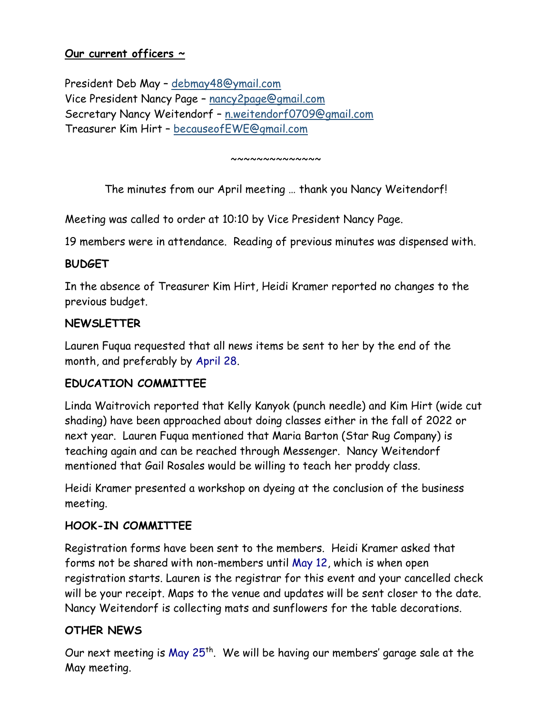#### **Our current officers ~**

President Deb May – [debmay48@ymail.com](mailto:debmay48@ymail.com) Vice President Nancy Page – [nancy2page@gmail.com](mailto:nancy2page@gmail.com) Secretary Nancy Weitendorf – [n.weitendorf0709@gmail.com](mailto:n.weitendorf0709@gmail.com) Treasurer Kim Hirt – [becauseofEWE@gmail.com](mailto:becauseofEWE@gmail.com)

~~~~~~~~~~~~~~

The minutes from our April meeting … thank you Nancy Weitendorf!

Meeting was called to order at 10:10 by Vice President Nancy Page.

19 members were in attendance. Reading of previous minutes was dispensed with.

#### **BUDGET**

In the absence of Treasurer Kim Hirt, Heidi Kramer reported no changes to the previous budget.

#### **NEWSLETTER**

Lauren Fuqua requested that all news items be sent to her by the end of the month, and preferably by April 28.

#### **EDUCATION COMMITTEE**

Linda Waitrovich reported that Kelly Kanyok (punch needle) and Kim Hirt (wide cut shading) have been approached about doing classes either in the fall of 2022 or next year. Lauren Fuqua mentioned that Maria Barton (Star Rug Company) is teaching again and can be reached through Messenger. Nancy Weitendorf mentioned that Gail Rosales would be willing to teach her proddy class.

Heidi Kramer presented a workshop on dyeing at the conclusion of the business meeting.

#### **HOOK-IN COMMITTEE**

Registration forms have been sent to the members. Heidi Kramer asked that forms not be shared with non-members until May 12, which is when open registration starts. Lauren is the registrar for this event and your cancelled check will be your receipt. Maps to the venue and updates will be sent closer to the date. Nancy Weitendorf is collecting mats and sunflowers for the table decorations.

#### **OTHER NEWS**

Our next meeting is May 25<sup>th</sup>. We will be having our members' garage sale at the May meeting.